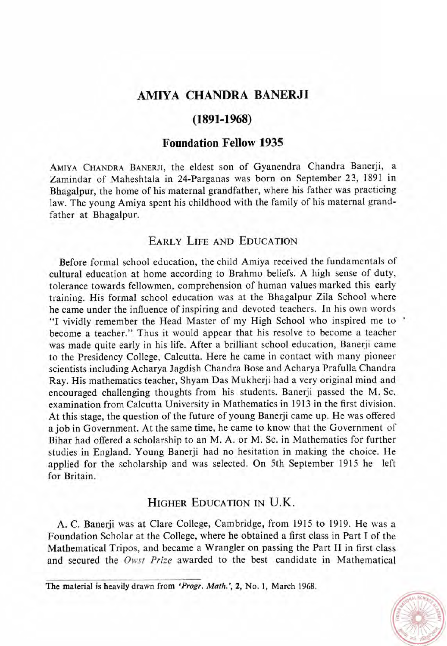# **AMNA CHANDRA BANERJI**

## $(1891 - 1968)$

### **Foundation Fellow 1935**

AMIYA CHANDRA BANERJI, the eldest son of Gyanendra Chandra Banerji, a Zamindar of Maheshtala in 24-Parganas was born on September 23, 1891 in Bhagalpur, the home of his maternal grandfather, where his father was practicing law. The young Amiya spent his childhood with the family of his maternal grandfather at Bhagalpur.

## **EARLY LIFE AND EDUCATION**

Before formal school education, the child Amiya received the fundamentals of cultural education at home according to Brahmo beliefs. A high sense of duty, tolerance towards fellowmen, comprehension of human values marked this early training. His formal school education was at the Bhagalpur Zila School where he came under the influence of inspiring and devoted teachers. In his own words "I vividly remember the Head Master of my High School who inspired me to ' become a teacher." Thus it would appear that his resolve to become a teacher was made quite early in his life. After a brilliant school education, Banerji came to the Presidency College, Calcutta. Here he came in contact with many pioneer scientists including Acharya Jagdish Chandra Bose and Acharya Prafulla Chandra Ray. His mathematics teacher, Shyam Das Mukherji had a very original mind and encouraged challenging thoughts from his students. Banerji passed the M. Sc. examination from Calcutta University in Mathematics in 1913 in the first division. At this stage, the question of the future of young Banerji came up. He was offered a job in Government. At the same time, he came to know that the Government of Bihar had offered a scholarship to an M. A. or M. Sc. in Mathematics for further studies in England. Young Banerji had no hesitation in making the choice. He applied for the scholarship and was selected. On 5th September 1915 he left for Britain.

### **HIGHER EDUCATION IN U.K.**

A. C. Banerji was at Clare College, Cambridge, from 1915 to 1919. He was a Foundation Scholar at the College, where he obtained a first class in Part I of the Mathematical Tripos, and became a Wrangler on passing the Part **I1** in first class and secured the Owst Prize awarded to the best candidate in Mathematical



**The material is heavily drawn from** *'Progr. Math.',* **2, No. 1, March 1968.**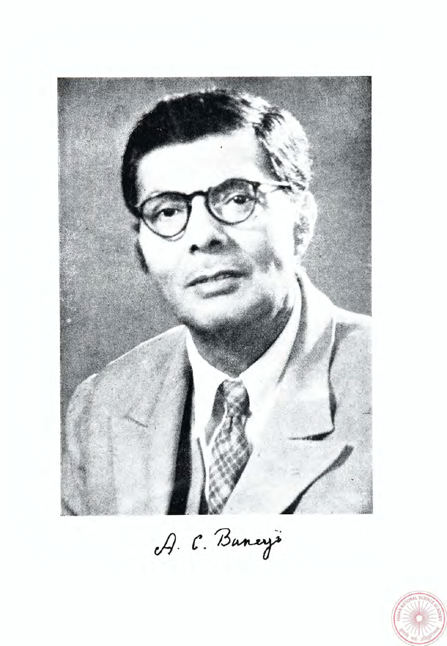

A. C. Buneys

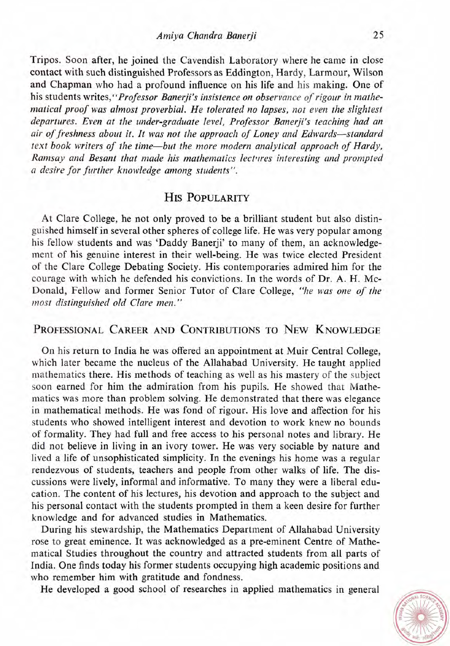Tripos. Soon after, he joined the Cavendish Laboratory where he came in close contact with such distinguished Professors as Eddington, Hardy, Larmour, Wilson and Chapman who had a profound influence on his life and his making. One of his students *writes,"Professor Banerji's insistence on observance of rigour in mathe*matical proof was almost proverbial. He tolerated no lapses, not even the slightest *departures. Even at the under-graduate level, Professor Banerji's teaching had an air of freshness about it. It was not the approach of Loney and Edwards-standard text book writers of the time-but the more modern analytical approach of Hardy, Ramsay and Besant that made his mathematics lect\*rres interesting and prompted*  **n** *desire for further knowledge among students".* 

## **HIS POPULARITY**

At Clare College, he not only proved to be a brilliant student but also distinguished himself in several other spheres of college life. He was very popular among his fellow students and was 'Daddy Banerji' to many of them, an acknowledgement of his genuine interest in their well-being. He was twice elected President of the Clare College Debating Society. His contemporaries admired him for the courage with which he defended his convictions. In the words of Dr. **A.** H. Mc-Donald, Fellow and former Senior Tutor of Clare College, *"he was one of the most distingiiishetl old Clare men."* 

## PROFESSIONAL CAREER AND CONTRIBUTIONS TO NEW KNOWLEDGE

On his return to India he was offered an appointment at Muir Central College, which later became the nucleus of the Allahabad University. He taught applied mathematics there. His methods of teaching as well as his mastery of the subject soon earned for him the admiration from his pupils. He showed that Mathematics was more than problem solving. He demonstrated that there was elegance in mathematical methods. He was fond of rigour. His love and affection for his students who showed intelligent interest and devotion to work knew no bounds of formality. They had full and free access to his personal notes and library. He did not believe in living in an ivory tower. He was very sociable by nature and lived a life of unsophisticated simplicity. In the evenings his home was a regular rendezvous of students, teachers and people from other walks of life. The discussions were lively, informal and informative. To many they were a liberal education. The content of his lectures, his devotion and approach to the subject and his personal contact with the students prompted in them a keen desire for further knowledge and for advanced studies in Mathematics.

During his stewardship, the Mathematics Department of Allahabad University rose to great eminence. It was acknowledged as a pre-eminent Centre of Mathematical Studies throughout the country and attracted students from all parts of India. One finds today his former students occupying high academic positions and who remember him with gratitude and fondness.

He developed a good school of researches in applied mathematics in general

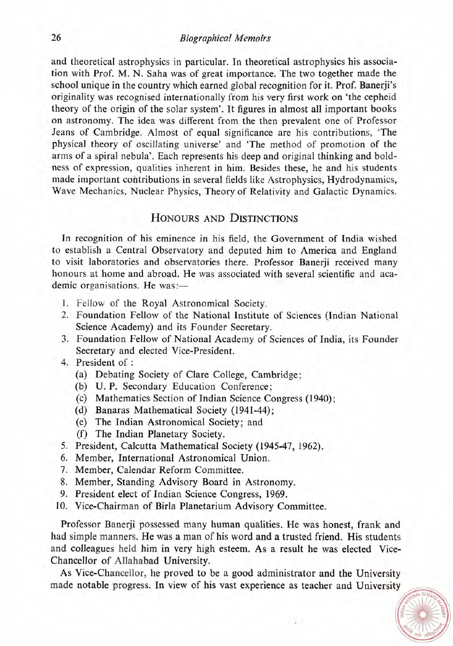#### *Biographical Memoirs*

and theoretical astrophysics in particular. In theoretical astrophysics his association with Prof. M. N. Saha was of great importance. The two together made the school unique in the country which earned global recognition for it. Prof. Banerji's originality was recognised internationally from his very first work on 'the cepheid theory of the origin of the solar system'. It figures in almost all important books on astronomy. The idea was different from the then prevalent one of Professor Jeans of Cambridge. Almost of equal significance are his contributions, 'The physical theory of oscillating universe' and 'The method of promotion of the arms of a spiral nebula'. Each represents his deep and original thinking and boldness of expression, qualities inherent in him. Besides these, he and his students made important contributions in several fields like Astrophysics, Hydrodynamics, Wave Mechanics, Nuclear Physics, Theory of Relativity and Galactic Dynamics.

#### HONOURS AND DISTINCTIONS

In recognition of his eminence in his field, the Government of India wished to establish a Central Observatory and deputed him to America and England to visit laboratories and observatories there. Professor Banerji received many honours at home and abroad. He was associated with several scientific and academic organisations. He was:-

- 1. Fellow of the Royal Astronomical Society.
- 2. Foundation Fellow of the National Institute of Sciences (Indian National Science Academy) and its Founder Secretary.
- **3.** Foundation Fellow of National Academy of Sciences of India, its Founder Secretary and elected Vice-President.
- 4. President of :
	- (a) Debating Society of Clare College, Cambridge;
	- (b) U. P. Secondary Education Conference ;
	- (c) Mathematics Section of Indian Science Congress (1940);
	- (d) Banaras Mathematical Society (1941-44);
	- (e) The Indian Astronomical Society; and
	- (f) The Indian Planetary Society.
- 5. President, Calcutta Mathematical Society (1945-47, 1962).
- *6.* Member, International Astronomical Union.
- 7. Member, Calendar Reform Committee.
- 8. Member, Standing Advisory Board in Astronomy.
- 9. President elect of Indian Science Congress, 1969.
- 10. Vice-Chairman of Birla Planetarium Advisory Committee.

Professor Banerji possessed many human qualities. He was honest, frank and had simple manners. He was a man of his word and a trusted friend. His students and colleagues held him in very high esteem. As a result he was elected Vice-Chancellor of Allahabad University.

As Vice-Chancellor, he proved to be a good administrator and the University made notable progress. In view of his vast experience as teacher and Universit

- 37

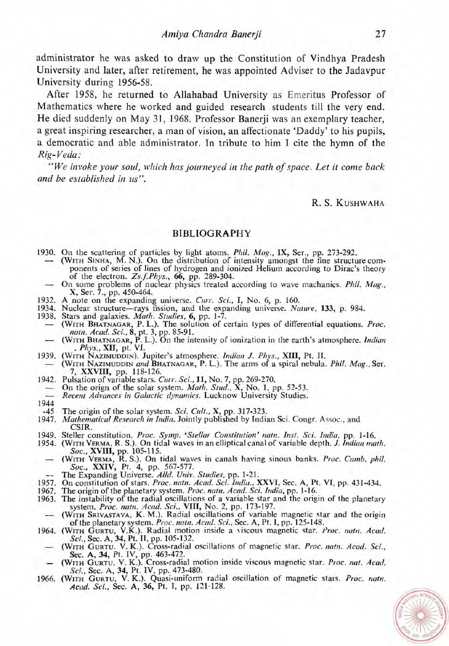administrator he was asked to draw up the Constitution of Vindhya Pradesh University and later, after retirement, he was appointed Adviser to the Jadavpur University during 1956-58.

After 1958, he returned to Allahabad University as Emeritus Professor of Mathematics where he worked and guided research students till the very end. He died suddenly on May 31, 1968. Professor Banerji was an exemplary teacher, a great inspiring researcher, a man of vision, an affectionate 'Daddy' to his pupils, a democratic and able administrator. In tribute to him I cite the hymn of the *Rig- Veda* :

*"We invoke your soul, which has journeyed in the path of space. Let it come back and be established in us".* 

R. S. KUSHWAHA

#### **BIBLIOGRAPHY**

- 1930. On the scattering of particles by light atoms. *Phil. Mag.,* IX, Ser., pp. 273-292.
- 30. On the scattering of particles by light atoms, *Phil. Mag.*, IX, Ser., pp. 273-292.<br>
 (WITH SINHA, M. N.). On the distribution of intensity amongst the fine structure components of series of lines of hydrogen and ionized Helium according to Dirac's theory of the electron.  $Zs.f.Phys.$ , 66, pp. 289-304. of the electron. *Zs.f.Phys.*, 66, pp. 289-304.<br>
- On some problems of nuclear physics treated according to wave machanics. *Phil. Mag.*, X, Ser. 7., pp. 450-464.
	-
- 1932. A note on the expanding universe. *Curr. Sci., I,* No. 6, p. 160.
- 1934. Nuclear structure-rays fission, and the expanding universe. *Nature*, 133, p. 984. 1938. Stars and galaxies. *Math. Studies*, 6, pp. 1-7.
- 
- 1932. A hote on the expanding directs: *Chr.* Sci., **1**, 100. 0, p. 100.<br>1934. Nuclear structure—rays fission, and the expanding universe. *Nature*, 133, p. 984.<br>1938. Stars and galaxies. *Math. Studies*, 6, pp. 1-7.<br> *mat* (WITH BHATNAGAR, P. L.). The solution of certain types of differential equations. *Proc.*<br> *natn. Acad. Sci.*, 8, pt. 3, pp. 85-91.<br>
— (WITH BHATNAGAR, P. L.). On the intensity of ionization in the earth's atmosphere. *Ind*
- 
- 
- 7, *XXVIII,* pp. 118-126. - (WITH NAZIMUDDIN and BHATNAGAR, P. L.). The arms of a spiral nebula. *Phil. Mag.*, Ser.<br>7, XXVIII, pp. 118-126.<br>1942. Pulsation of variable stars. *Curr. Sci.*, 11, No. 7, pp. 269-270.<br>- On the orign of the solar system
- 
- 
- 
- 1944 The origin of the solar system. *Sci. Cult.*, **X**, pp. 317-323.
- 1947. *Mathematical Research in India.* Jointly published by Indian Sci. Congr. Assoc., and CSIR.
- 
- 1949. Steller constitution. *Proc. Symp.* '*Stellar Constitution' natn. Inst. Sci. India*, pp. 1-16.<br>1954. (WITH VERMA, R. S.). On tidal waves in an elliptical canal of variable depth. *J. Indian math.*<br>60c., XVIII, pp. 10
	- *Soc., XXIV, Pt. 4, pp. 567-577.*<br>-- The Expanding Universe. *Alld. Univ. Studies, pp. 1-21.*
	-
- 1957. On constitution of stars. *Proc. natn. Acad. Sci. Indiu., XXVI,* Sec. *A,* Pt. **VI,** pp. 431-434.
- 1962. The origin of the planetary system. Proc. natn. Acad. Sci. India, pp. 1-16.
- 1963. The origin of the planetary system. True, hand, retail, see, thank, pp. 1-10.<br>
1963. The instability of the radial oscillations of a variable star and the origin of the planetary<br>
 (WITH SRIVASTAVA, K. M.). Radial o system. *Proc. natn. Acad. Sci.*, VIII, No. 2, pp. 173-197.<br>(WITH SRIVASTAVA, K. M.). Radial oscillations of variable magnetic star and the origin
- of the planetary system. Proc. natn. Acad. Sci., Sec. A, Pt. I, pp. 125-148.
- 1964. (WITH GURTU, V.K.). Radial motion inside a viscous magnetic star. *Proc. natn. Acad.*<br>Sci., Sec. A, 34, Pt. II, pp. 105-132.<br>— (WITH GURTU. V.K.). Cross-radial oscillations of magnetic star. *Proc. natn. Acad. Sci.*,
	- (WITH GURTU, V. K.). Cross-radial oscillations of magnetic star. *Proc. nath. Acad.* Sci., Sec. A, 34, Pt. IV, pp. 463-472.<br>Sec. A, 34, Pt. IV, pp. 463-472.<br>— (WITH GURTU, V. K.). Cross-radial motion inside viscous magneti
- *Sci., Sec. A, 34,* Pt. **IV,** pp. 473-480.
- **1966. (WITH GURTU, V. K.).** Quasi-uniform radial oscillation of magnetic stars. *Proc. natn.*  **Actzd.** *Sci.,* Sec. A, 36, Pt. **I,** pp. 121-128.